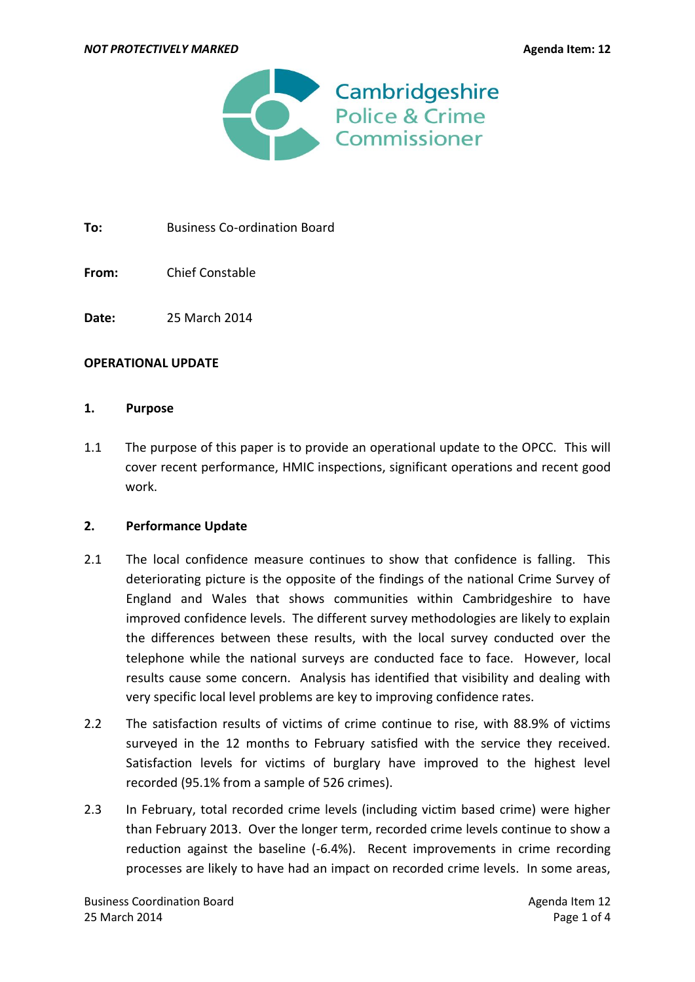

To: Business Co-ordination Board

**From:** Chief Constable

**Date:** 25 March 2014

### **OPERATIONAL UPDATE**

### **1. Purpose**

1.1 The purpose of this paper is to provide an operational update to the OPCC. This will cover recent performance, HMIC inspections, significant operations and recent good work.

### **2. Performance Update**

- 2.1 The local confidence measure continues to show that confidence is falling. This deteriorating picture is the opposite of the findings of the national Crime Survey of England and Wales that shows communities within Cambridgeshire to have improved confidence levels. The different survey methodologies are likely to explain the differences between these results, with the local survey conducted over the telephone while the national surveys are conducted face to face. However, local results cause some concern. Analysis has identified that visibility and dealing with very specific local level problems are key to improving confidence rates.
- 2.2 The satisfaction results of victims of crime continue to rise, with 88.9% of victims surveyed in the 12 months to February satisfied with the service they received. Satisfaction levels for victims of burglary have improved to the highest level recorded (95.1% from a sample of 526 crimes).
- 2.3 In February, total recorded crime levels (including victim based crime) were higher than February 2013. Over the longer term, recorded crime levels continue to show a reduction against the baseline (-6.4%). Recent improvements in crime recording processes are likely to have had an impact on recorded crime levels. In some areas,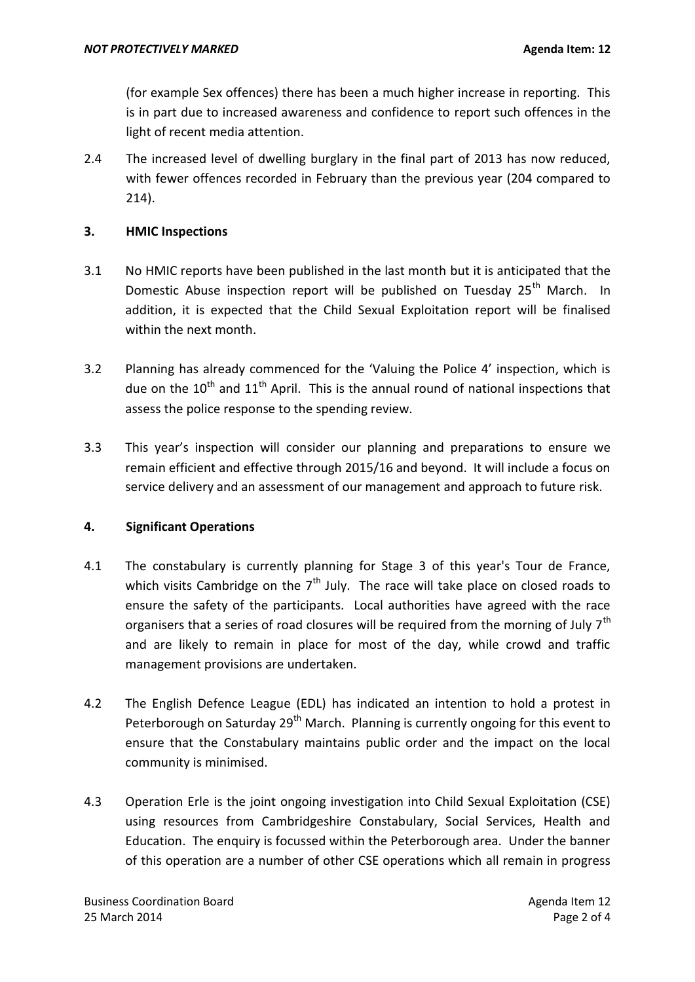(for example Sex offences) there has been a much higher increase in reporting. This is in part due to increased awareness and confidence to report such offences in the light of recent media attention.

2.4 The increased level of dwelling burglary in the final part of 2013 has now reduced, with fewer offences recorded in February than the previous year (204 compared to 214).

# **3. HMIC Inspections**

- 3.1 No HMIC reports have been published in the last month but it is anticipated that the Domestic Abuse inspection report will be published on Tuesday 25<sup>th</sup> March. In addition, it is expected that the Child Sexual Exploitation report will be finalised within the next month.
- 3.2 Planning has already commenced for the 'Valuing the Police 4' inspection, which is due on the  $10^{\text{th}}$  and  $11^{\text{th}}$  April. This is the annual round of national inspections that assess the police response to the spending review.
- 3.3 This year's inspection will consider our planning and preparations to ensure we remain efficient and effective through 2015/16 and beyond. It will include a focus on service delivery and an assessment of our management and approach to future risk.

## **4. Significant Operations**

- 4.1 The constabulary is currently planning for Stage 3 of this year's Tour de France, which visits Cambridge on the  $7<sup>th</sup>$  July. The race will take place on closed roads to ensure the safety of the participants. Local authorities have agreed with the race organisers that a series of road closures will be required from the morning of July 7<sup>th</sup> and are likely to remain in place for most of the day, while crowd and traffic management provisions are undertaken.
- 4.2 The English Defence League (EDL) has indicated an intention to hold a protest in Peterborough on Saturday  $29<sup>th</sup>$  March. Planning is currently ongoing for this event to ensure that the Constabulary maintains public order and the impact on the local community is minimised.
- 4.3 Operation Erle is the joint ongoing investigation into Child Sexual Exploitation (CSE) using resources from Cambridgeshire Constabulary, Social Services, Health and Education. The enquiry is focussed within the Peterborough area. Under the banner of this operation are a number of other CSE operations which all remain in progress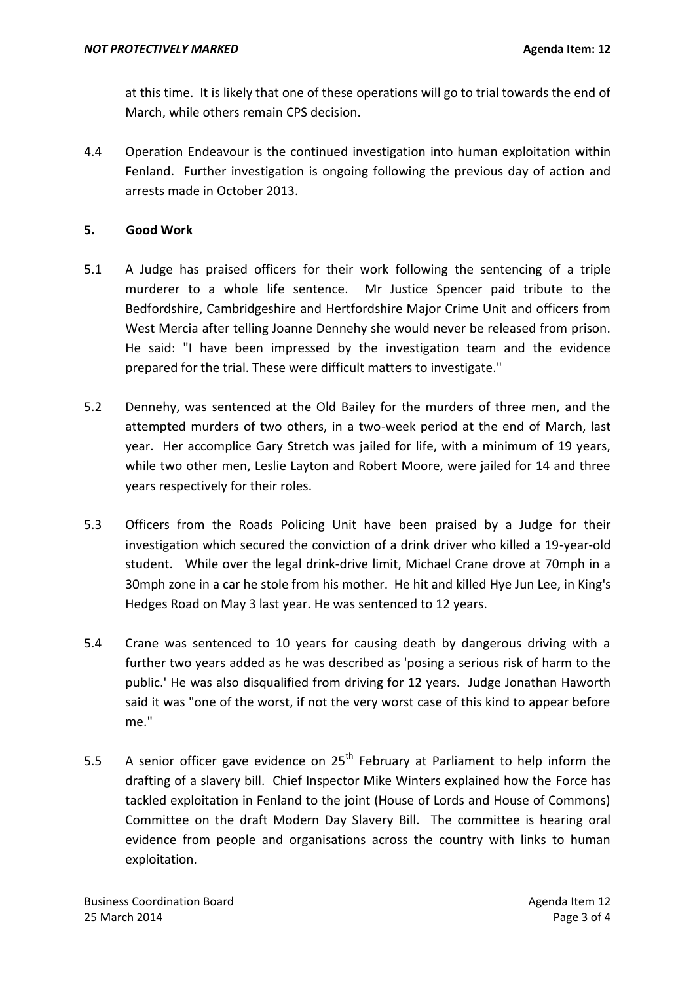at this time. It is likely that one of these operations will go to trial towards the end of March, while others remain CPS decision.

4.4 Operation Endeavour is the continued investigation into human exploitation within Fenland. Further investigation is ongoing following the previous day of action and arrests made in October 2013.

## **5. Good Work**

- 5.1 A Judge has praised officers for their work following the sentencing of a triple murderer to a whole life sentence. Mr Justice Spencer paid tribute to the Bedfordshire, Cambridgeshire and Hertfordshire Major Crime Unit and officers from West Mercia after telling Joanne Dennehy she would never be released from prison. He said: "I have been impressed by the investigation team and the evidence prepared for the trial. These were difficult matters to investigate."
- 5.2 Dennehy, was sentenced at the Old Bailey for the murders of three men, and the attempted murders of two others, in a two-week period at the end of March, last year. Her accomplice Gary Stretch was jailed for life, with a minimum of 19 years, while two other men, Leslie Layton and Robert Moore, were jailed for 14 and three years respectively for their roles.
- 5.3 Officers from the Roads Policing Unit have been praised by a Judge for their investigation which secured the conviction of a drink driver who killed a 19-year-old student. While over the legal drink-drive limit, Michael Crane drove at 70mph in a 30mph zone in a car he stole from his mother. He hit and killed Hye Jun Lee, in King's Hedges Road on May 3 last year. He was sentenced to 12 years.
- 5.4 Crane was sentenced to 10 years for causing death by dangerous driving with a further two years added as he was described as 'posing a serious risk of harm to the public.' He was also disqualified from driving for 12 years. Judge Jonathan Haworth said it was "one of the worst, if not the very worst case of this kind to appear before me."
- 5.5 A senior officer gave evidence on  $25<sup>th</sup>$  February at Parliament to help inform the drafting of a slavery bill. Chief Inspector Mike Winters explained how the Force has tackled exploitation in Fenland to the joint (House of Lords and House of Commons) Committee on the draft Modern Day Slavery Bill. The committee is hearing oral evidence from people and organisations across the country with links to human exploitation.